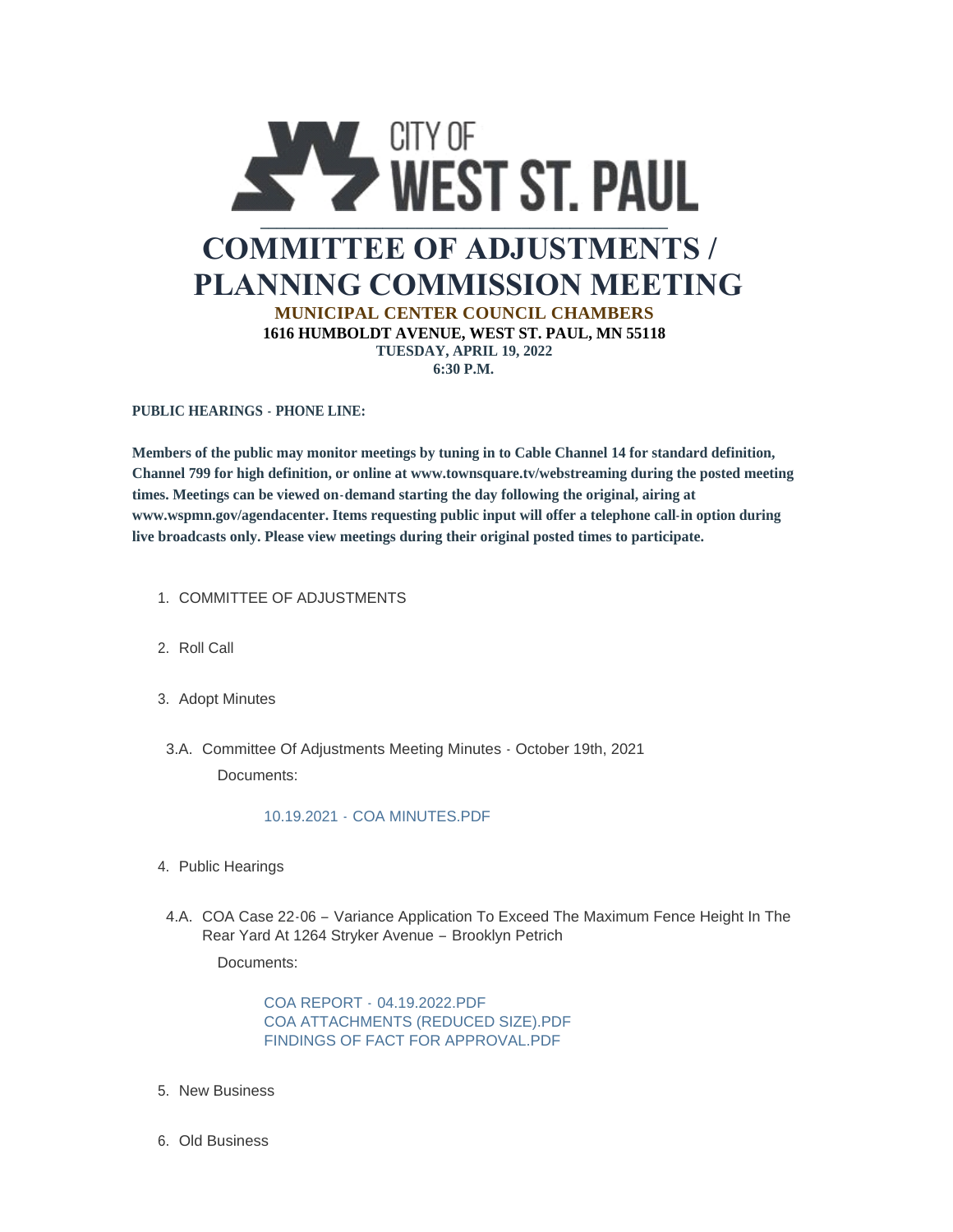

**PUBLIC HEARINGS - PHONE LINE:**

**Members of the public may monitor meetings by tuning in to Cable Channel 14 for standard definition, Channel 799 for high definition, or online at www.townsquare.tv/webstreaming during the posted meeting times. Meetings can be viewed on-demand starting the day following the original, airing at www.wspmn.gov/agendacenter. Items requesting public input will offer a telephone call-in option during live broadcasts only. Please view meetings during their original posted times to participate.**

- 1. COMMITTEE OF ADJUSTMENTS
- 2. Roll Call
- 3. Adopt Minutes
- Committee Of Adjustments Meeting Minutes October 19th, 2021 3.A. Documents:

## 10.19.2021 - [COA MINUTES.PDF](https://www.wspmn.gov/AgendaCenter/ViewFile/Item/12136?fileID=18979)

- 4. Public Hearings
- 4.A. COA Case 22-06 Variance Application To Exceed The Maximum Fence Height In The Rear Yard At 1264 Stryker Avenue – Brooklyn Petrich

Documents:

COA REPORT - [04.19.2022.PDF](https://www.wspmn.gov/AgendaCenter/ViewFile/Item/12775?fileID=19806) [COA ATTACHMENTS \(REDUCED SIZE\).PDF](https://www.wspmn.gov/AgendaCenter/ViewFile/Item/12775?fileID=19805) [FINDINGS OF FACT FOR APPROVAL.PDF](https://www.wspmn.gov/AgendaCenter/ViewFile/Item/12775?fileID=19807)

- 5. New Business
- 6. Old Business